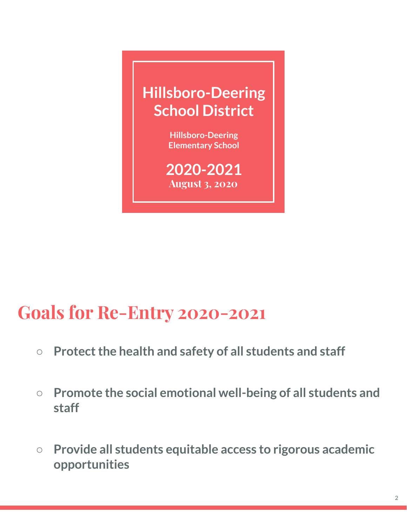

**2020-2021 August 3, 2020**

### **Goals for Re-Entry 2020-2021**

- **○ Protect the health and safety of all students and staff**
- **○ Promote the social emotional well-being of all students and staff**
- **○ Provide all students equitable access to rigorous academic opportunities**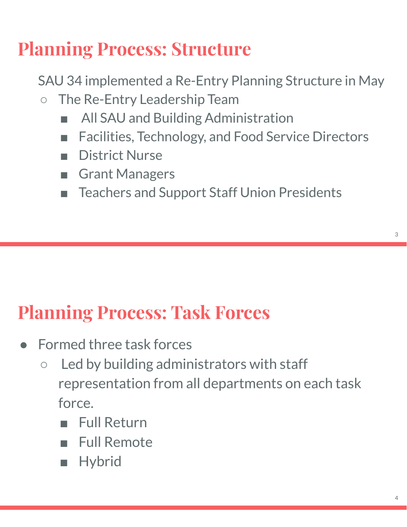## **Planning Process: Structure**

SAU 34 implemented a Re-Entry Planning Structure in May

- The Re-Entry Leadership Team
	- All SAU and Building Administration
	- Facilities, Technology, and Food Service Directors
	- District Nurse
	- Grant Managers
	- Teachers and Support Staff Union Presidents

### **Planning Process: Task Forces**

- Formed three task forces
	- Led by building administrators with staff representation from all departments on each task force.
		- Full Return
		- Full Remote
		- Hybrid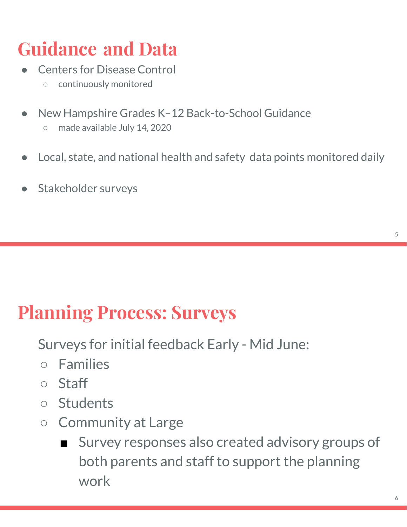## **Guidance and Data**

- **Centers for Disease Control** 
	- continuously monitored
- New Hampshire Grades K-12 Back-to-School Guidance ○ made available July 14, 2020
- Local, state, and national health and safety data points monitored daily
- Stakeholder surveys

### **Planning Process: Surveys**

Surveys for initial feedback Early - Mid June:

- Families
- Staff
- Students
- Community at Large
	- Survey responses also created advisory groups of both parents and staff to support the planning work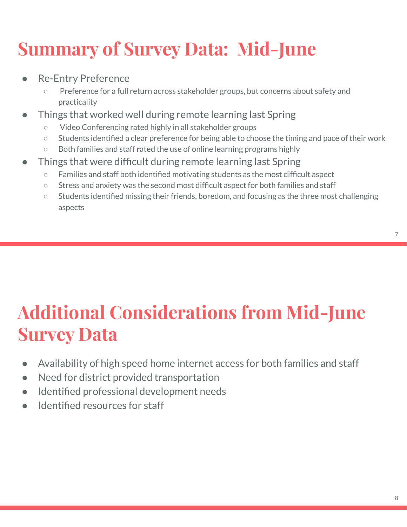## **Summary of Survey Data: Mid-June**

- **Re-Entry Preference** 
	- Preference for a full return across stakeholder groups, but concerns about safety and practicality
- Things that worked well during remote learning last Spring
	- Video Conferencing rated highly in all stakeholder groups
	- Students identified a clear preference for being able to choose the timing and pace of their work
	- Both families and staff rated the use of online learning programs highly
- Things that were difficult during remote learning last Spring
	- Families and staff both identified motivating students as the most difficult aspect
	- Stress and anxiety was the second most difficult aspect for both families and staff
	- Students identified missing their friends, boredom, and focusing as the three most challenging aspects

## **Additional Considerations from Mid-June Survey Data**

- Availability of high speed home internet access for both families and staff
- Need for district provided transportation
- Identified professional development needs
- Identified resources for staff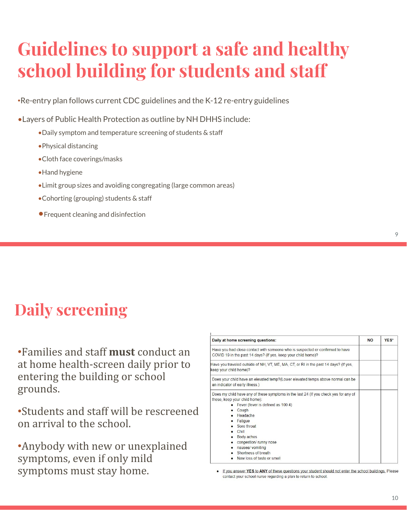### **Guidelines to support a safe and healthy school building for students and staff**

•Re-entry plan follows current CDC guidelines and the K-12 re-entry guidelines

•Layers of Public Health Protection as outline by NH DHHS include:

- •Daily symptom and temperature screening of students & staff
- •Physical distancing
- •Cloth face coverings/masks
- •Hand hygiene
- •Limit group sizes and avoiding congregating (large common areas)
- •Cohorting (grouping) students & staff
- •Frequent cleaning and disinfection

#### **Daily screening**

•Families and staff **must** conduct an at home health-screen daily prior to entering the building or school grounds.

•Students and staff will be rescreened on arrival to the school.

•Anybody with new or unexplained symptoms, even if only mild symptoms must stay home.

| Daily at home screening questions:                                                                                                                           | <b>NO</b> | YES* |
|--------------------------------------------------------------------------------------------------------------------------------------------------------------|-----------|------|
| Have you had close contact with someone who is suspected or confirmed to have<br>COVID 19 in the past 14 days? (If yes, keep your child home)?               |           |      |
| Have you traveled outside of NH, VT, ME, MA, CT, or RI in the past 14 days? (If yes,<br>keep your child home)?                                               |           |      |
| Does your child have an elevated temp?(Lower elevated temps above normal can be<br>an indicator of early illness.)                                           |           |      |
| Does my child have any of these symptoms in the last 24 (If you check yes for any of<br>these, keep your child home):<br>• Fever (fever is defined as 100.4) |           |      |
| Cough<br>$\bullet$ Headache<br>Fatigue                                                                                                                       |           |      |
| • Sore throat<br>Chill<br>• Body aches                                                                                                                       |           |      |
| • congestion/runny nose<br>nausea/ vomiting                                                                                                                  |           |      |
| Shortness of breath<br>Now loss of taste or small                                                                                                            |           |      |

. If you answer YES to ANY of these questions your student should not enter the school buildings. Please contact your school nurse regarding a plan to return to school.

10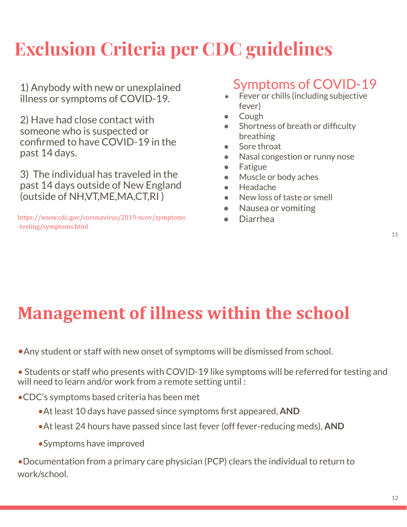## **Exclusion Criteria per CDC guidelines**

1) Anybody with new or unexplained illness or symptoms of COVID-19.

2) Have had close contact with someone who is suspected or confirmed to have COVID-19 in the past 14 days.

3) The individual has traveled in the past 14 days outside of New England (outside of NH,VT,ME,MA,CT,RI )

https://www.cdc.gov/coronavirus/2019-ncov/symptoms -testing/symptoms.html

#### Symptoms of COVID-19

- Fever or chills (including subjective fever)
- Cough
- Shortness of breath or difficulty breathing
- Sore throat
- Nasal congestion or runny nose
- Fatigue
- Muscle or body aches
- Headache
- New loss of taste or smell
- Nausea or vomiting
- Diarrhea

### **Management of illness within the school**

•Any student or staff with new onset of symptoms will be dismissed from school.

• Students or staff who presents with COVID-19 like symptoms will be referred for testing and will need to learn and/or work from a remote setting until :

•CDC's symptoms based criteria has been met

- •At least 10 days have passed since symptoms first appeared, **AND**
- •At least 24 hours have passed since last fever (off fever-reducing meds), **AND**
- •Symptoms have improved

•Documentation from a primary care physician (PCP) clears the individual to return to work/school.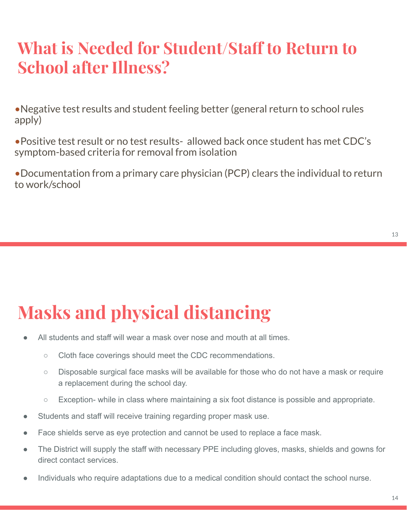### **What is Needed for Student/Staff to Return to School after Illness?**

•Negative test results and student feeling better (general return to school rules apply)

•Positive test result or no test results- allowed back once student has met CDC's symptom-based criteria for removal from isolation

•Documentation from a primary care physician (PCP) clears the individual to return to work/school

## **Masks and physical distancing**

- All students and staff will wear a mask over nose and mouth at all times.
	- Cloth face coverings should meet the CDC recommendations.
	- Disposable surgical face masks will be available for those who do not have a mask or require a replacement during the school day.
	- Exception- while in class where maintaining a six foot distance is possible and appropriate.
- Students and staff will receive training regarding proper mask use.
- Face shields serve as eye protection and cannot be used to replace a face mask.
- The District will supply the staff with necessary PPE including gloves, masks, shields and gowns for direct contact services.
- Individuals who require adaptations due to a medical condition should contact the school nurse.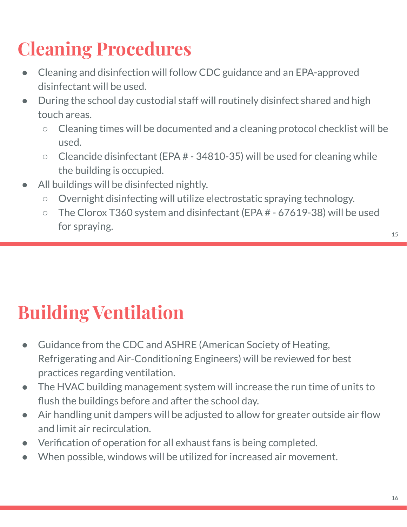## **Cleaning Procedures**

- Cleaning and disinfection will follow CDC guidance and an EPA-approved disinfectant will be used.
- During the school day custodial staff will routinely disinfect shared and high touch areas.
	- Cleaning times will be documented and a cleaning protocol checklist will be used.
	- $\circ$  Cleancide disinfectant (EPA  $#$  34810-35) will be used for cleaning while the building is occupied.
- All buildings will be disinfected nightly.
	- Overnight disinfecting will utilize electrostatic spraying technology.
	- The Clorox T360 system and disinfectant (EPA # 67619-38) will be used for spraying.

- Guidance from the CDC and ASHRE (American Society of Heating, Refrigerating and Air-Conditioning Engineers) will be reviewed for best practices regarding ventilation.
- The HVAC building management system will increase the run time of units to flush the buildings before and after the school day.
- Air handling unit dampers will be adjusted to allow for greater outside air flow and limit air recirculation.
- Verification of operation for all exhaust fans is being completed.
- When possible, windows will be utilized for increased air movement.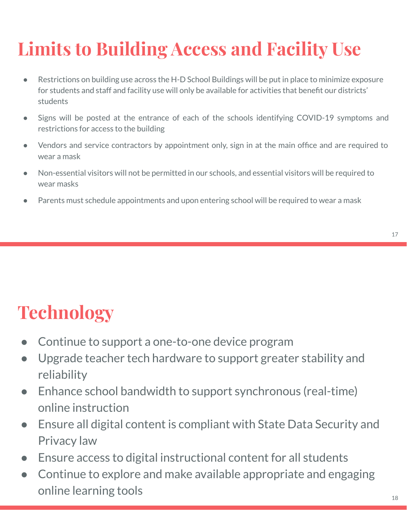# **Limits to Building Access and Facility Use**

- Restrictions on building use across the H-D School Buildings will be put in place to minimize exposure for students and staff and facility use will only be available for activities that benefit our districts' students
- Signs will be posted at the entrance of each of the schools identifying COVID-19 symptoms and restrictions for access to the building
- Vendors and service contractors by appointment only, sign in at the main office and are required to wear a mask
- Non-essential visitors will not be permitted in our schools, and essential visitors will be required to wear masks
- Parents must schedule appointments and upon entering school will be required to wear a mask

## **Technology**

- Continue to support a one-to-one device program
- Upgrade teacher tech hardware to support greater stability and reliability
- Enhance school bandwidth to support synchronous (real-time) online instruction
- Ensure all digital content is compliant with State Data Security and Privacy law
- Ensure access to digital instructional content for all students
- Continue to explore and make available appropriate and engaging online learning tools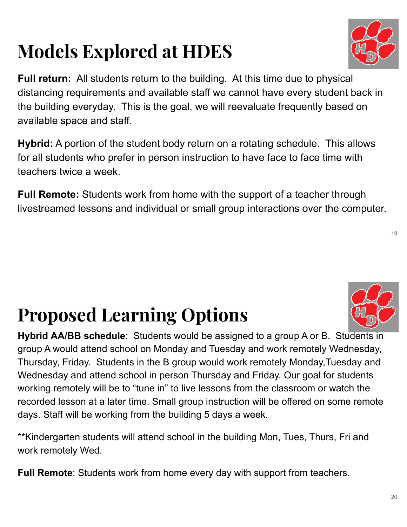## **Models Explored at HDES**

**Full return:** All students return to the building. At this time due to physical distancing requirements and available staff we cannot have every student back in the building everyday. This is the goal, we will reevaluate frequently based on available space and staff.

**Hybrid:** A portion of the student body return on a rotating schedule. This allows for all students who prefer in person instruction to have face to face time with teachers twice a week.

**Full Remote:** Students work from home with the support of a teacher through livestreamed lessons and individual or small group interactions over the computer.

# **Proposed Learning Options**

**Hybrid AA/BB schedule**: Students would be assigned to a group A or B. Students in group A would attend school on Monday and Tuesday and work remotely Wednesday, Thursday, Friday. Students in the B group would work remotely Monday,Tuesday and Wednesday and attend school in person Thursday and Friday. Our goal for students working remotely will be to "tune in" to live lessons from the classroom or watch the recorded lesson at a later time. Small group instruction will be offered on some remote days. Staff will be working from the building 5 days a week.

\*\*Kindergarten students will attend school in the building Mon, Tues, Thurs, Fri and work remotely Wed.

**Full Remote**: Students work from home every day with support from teachers.



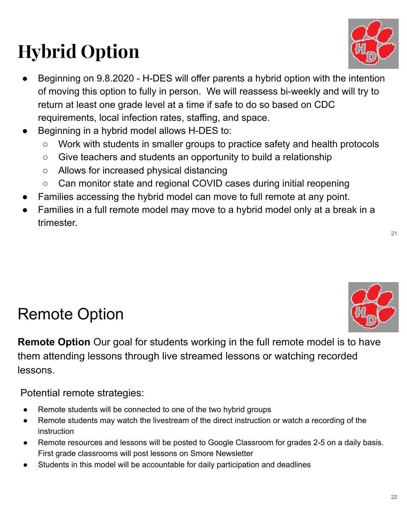# **Hybrid Option**

22

- Beginning on 9.8.2020 H-DES will offer parents a hybrid option with the intention of moving this option to fully in person. We will reassess bi-weekly and will try to return at least one grade level at a time if safe to do so based on CDC requirements, local infection rates, staffing, and space.
- Beginning in a hybrid model allows H-DES to:
	- Work with students in smaller groups to practice safety and health protocols
	- Give teachers and students an opportunity to build a relationship
	- Allows for increased physical distancing
	- Can monitor state and regional COVID cases during initial reopening
- Families accessing the hybrid model can move to full remote at any point.
- Families in a full remote model may move to a hybrid model only at a break in a trimester.

### Remote Option

**Remote Option** Our goal for students working in the full remote model is to have them attending lessons through live streamed lessons or watching recorded lessons.

Potential remote strategies:

- Remote students will be connected to one of the two hybrid groups
- Remote students may watch the livestream of the direct instruction or watch a recording of the instruction
- Remote resources and lessons will be posted to Google Classroom for grades 2-5 on a daily basis. First grade classrooms will post lessons on Smore Newsletter
- Students in this model will be accountable for daily participation and deadlines



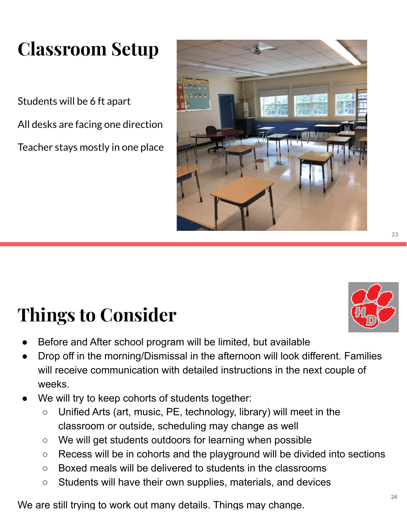## **Classroom Setup**

Students will be 6 ft apart All desks are facing one direction Teacher stays mostly in one place



## **Things to Consider**

- Before and After school program will be limited, but available
- Drop off in the morning/Dismissal in the afternoon will look different. Families will receive communication with detailed instructions in the next couple of weeks.
- We will try to keep cohorts of students together:
	- $\circ$  Unified Arts (art, music, PE, technology, library) will meet in the classroom or outside, scheduling may change as well
	- We will get students outdoors for learning when possible
	- Recess will be in cohorts and the playground will be divided into sections
	- Boxed meals will be delivered to students in the classrooms
	- Students will have their own supplies, materials, and devices

We are still trying to work out many details. Things may change.

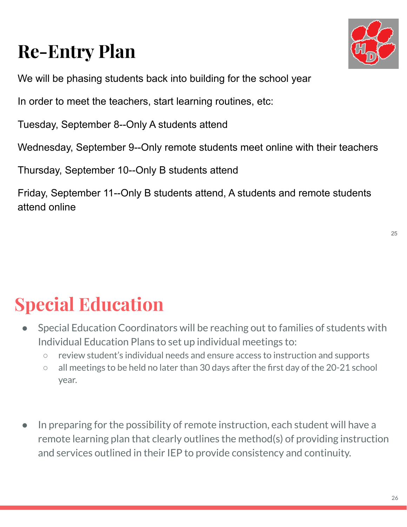## **Re-Entry Plan**



We will be phasing students back into building for the school year

In order to meet the teachers, start learning routines, etc:

Tuesday, September 8--Only A students attend

Wednesday, September 9--Only remote students meet online with their teachers

Thursday, September 10--Only B students attend

Friday, September 11--Only B students attend, A students and remote students attend online

## **Special Education**

- Special Education Coordinators will be reaching out to families of students with Individual Education Plans to set up individual meetings to:
	- review student's individual needs and ensure access to instruction and supports
	- all meetings to be held no later than 30 days after the first day of the 20-21 school year.
- In preparing for the possibility of remote instruction, each student will have a remote learning plan that clearly outlines the method(s) of providing instruction and services outlined in their IEP to provide consistency and continuity.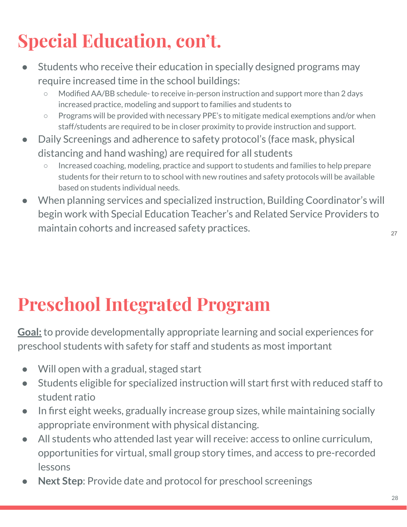## **Special Education, con't.**

- Students who receive their education in specially designed programs may require increased time in the school buildings:
	- Modified AA/BB schedule- to receive in-person instruction and support more than 2 days increased practice, modeling and support to families and students to
	- Programs will be provided with necessary PPE's to mitigate medical exemptions and/or when staff/students are required to be in closer proximity to provide instruction and support.
- Daily Screenings and adherence to safety protocol's (face mask, physical distancing and hand washing) are required for all students
	- Increased coaching, modeling, practice and support to students and families to help prepare students for their return to to school with new routines and safety protocols will be available based on students individual needs.
- When planning services and specialized instruction, Building Coordinator's will begin work with Special Education Teacher's and Related Service Providers to maintain cohorts and increased safety practices.  $27\over 27$

## **Preschool Integrated Program**

**Goal:** to provide developmentally appropriate learning and social experiences for preschool students with safety for staff and students as most important

- Will open with a gradual, staged start
- Students eligible for specialized instruction will start first with reduced staff to student ratio
- In first eight weeks, gradually increase group sizes, while maintaining socially appropriate environment with physical distancing.
- All students who attended last year will receive: access to online curriculum, opportunities for virtual, small group story times, and access to pre-recorded lessons
- Next Step: Provide date and protocol for preschool screenings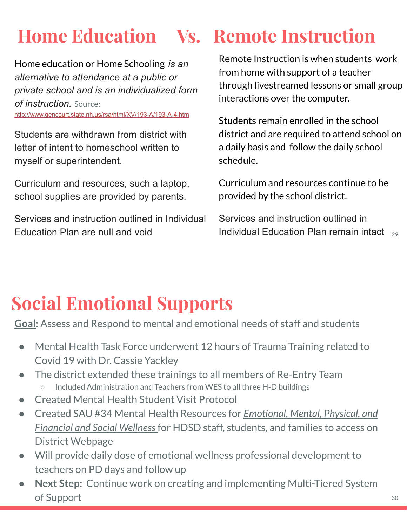## **Home Education Vs. Remote Instruction**

Home education or Home Schooling *is an alternative to attendance at a public or private school and is an individualized form of instruction.* Source:

http://www.gencourt.state.nh.us/rsa/html/XV/193-A/193-A-4.htm

Students are withdrawn from district with letter of intent to homeschool written to myself or superintendent.

Curriculum and resources, such a laptop, school supplies are provided by parents.

Services and instruction outlined in Individual Education Plan are null and void  $\blacksquare$  Individual Education Plan remain intact  $\frac{29}{2}$ 

Remote Instruction is when students work from home with support of a teacher through livestreamed lessons or small group interactions over the computer.

Students remain enrolled in the school district and are required to attend school on a daily basis and follow the daily school schedule.

Curriculum and resources continue to be provided by the school district.

Services and instruction outlined in

## **Social Emotional Supports**

**Goal:** Assess and Respond to mental and emotional needs of staff and students

- Mental Health Task Force underwent 12 hours of Trauma Training related to Covid 19 with Dr. Cassie Yackley
- The district extended these trainings to all members of Re-Entry Team Included Administration and Teachers from WES to all three H-D buildings
- Created Mental Health Student Visit Protocol
- Created SAU #34 Mental Health Resources for *Emotional, Mental, Physical, and Financial and Social Wellness* for HDSD staff, students, and families to access on District Webpage
- Will provide daily dose of emotional wellness professional development to teachers on PD days and follow up
- Next Step: Continue work on creating and implementing Multi-Tiered System of Support 30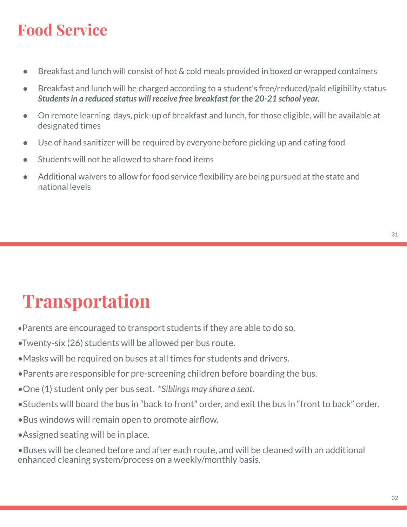### **Food Service**

- Breakfast and lunch will consist of hot & cold meals provided in boxed or wrapped containers
- Breakfast and lunch will be charged according to a student's free/reduced/paid eligibility status *Students in a reduced status will receive free breakfast for the 20-21 school year.*
- On remote learning days, pick-up of breakfast and lunch, for those eligible, will be available at designated times
- Use of hand sanitizer will be required by everyone before picking up and eating food
- Students will not be allowed to share food items
- Additional waivers to allow for food service flexibility are being pursued at the state and national levels

## **Transportation**

- •Parents are encouraged to transport students if they are able to do so.
- •Twenty-six (26) students will be allowed per bus route.
- •Masks will be required on buses at all times for students and drivers.
- •Parents are responsible for pre-screening children before boarding the bus.
- •One (1) student only per bus seat. \**Siblings may share a seat*.
- •Students will board the bus in "back to front" order, and exit the bus in "front to back" order.
- •Bus windows will remain open to promote airflow.
- •Assigned seating will be in place.
- •Buses will be cleaned before and after each route, and will be cleaned with an additional enhanced cleaning system/process on a weekly/monthly basis.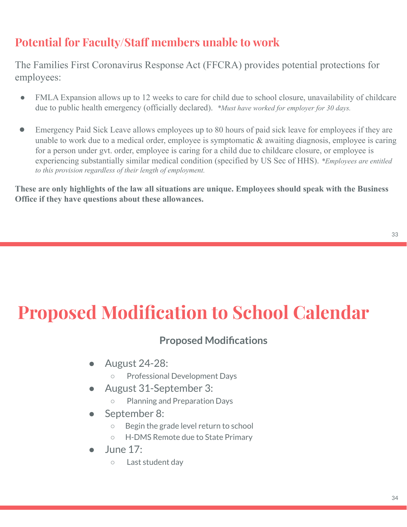#### **Potential for Faculty/Staff members unable to work**

The Families First Coronavirus Response Act (FFCRA) provides potential protections for employees:

- FMLA Expansion allows up to 12 weeks to care for child due to school closure, unavailability of childcare due to public health emergency (officially declared). *\*Must have worked for employer for 30 days.*
- Emergency Paid Sick Leave allows employees up to 80 hours of paid sick leave for employees if they are unable to work due to a medical order, employee is symptomatic & awaiting diagnosis, employee is caring for a person under gvt. order, employee is caring for a child due to childcare closure, or employee is experiencing substantially similar medical condition (specified by US Sec of HHS). *\*Employees are entitled to this provision regardless of their length of employment.*

**These are only highlights of the law all situations are unique. Employees should speak with the Business Office if they have questions about these allowances.**

## **Proposed Modification to School Calendar**

#### **Proposed Modifications**

- August 24-28:
	- Professional Development Days
- August 31-September 3:
	- Planning and Preparation Days
- September 8:
	- Begin the grade level return to school
	- H-DMS Remote due to State Primary
- June  $17:$ 
	- Last student day